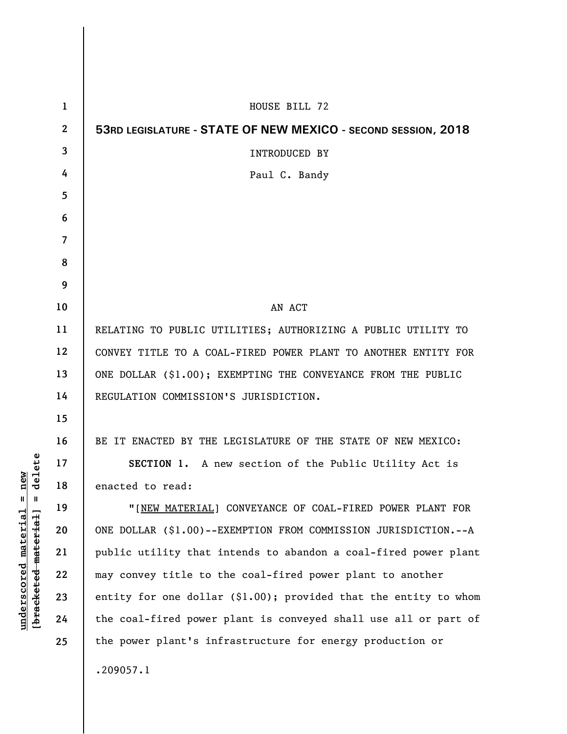| $\mathbf 1$              | HOUSE BILL 72                                                    |
|--------------------------|------------------------------------------------------------------|
| $\overline{2}$           | 53RD LEGISLATURE - STATE OF NEW MEXICO - SECOND SESSION, 2018    |
| 3                        | <b>INTRODUCED BY</b>                                             |
| 4                        | Paul C. Bandy                                                    |
| 5                        |                                                                  |
| 6                        |                                                                  |
| $\overline{\phantom{a}}$ |                                                                  |
| 8                        |                                                                  |
| 9                        |                                                                  |
| 10                       | AN ACT                                                           |
| 11                       | RELATING TO PUBLIC UTILITIES; AUTHORIZING A PUBLIC UTILITY TO    |
| 12                       | CONVEY TITLE TO A COAL-FIRED POWER PLANT TO ANOTHER ENTITY FOR   |
| 13                       | ONE DOLLAR (\$1.00); EXEMPTING THE CONVEYANCE FROM THE PUBLIC    |
| 14                       | REGULATION COMMISSION'S JURISDICTION.                            |
| 15                       |                                                                  |
| 16                       | BE IT ENACTED BY THE LEGISLATURE OF THE STATE OF NEW MEXICO:     |
| 17                       | SECTION 1. A new section of the Public Utility Act is            |
| 18                       | enacted to read:                                                 |
| 19                       | "[NEW MATERIAL] CONVEYANCE OF COAL-FIRED POWER PLANT FOR         |
| 20                       | ONE DOLLAR (\$1.00)--EXEMPTION FROM COMMISSION JURISDICTION.--A  |
| 21                       | public utility that intends to abandon a coal-fired power plant  |
| 22                       | may convey title to the coal-fired power plant to another        |
| 23                       | entity for one dollar (\$1.00); provided that the entity to whom |
| 24                       | the coal-fired power plant is conveyed shall use all or part of  |
| 25                       | the power plant's infrastructure for energy production or        |
|                          | .209057.1                                                        |
|                          |                                                                  |

 $[**bracket eted metert et**] = **del et e**$ **[bracketed material] = delete**  $underscored material = new$ **underscored material = new**

 $\overline{\phantom{a}}$